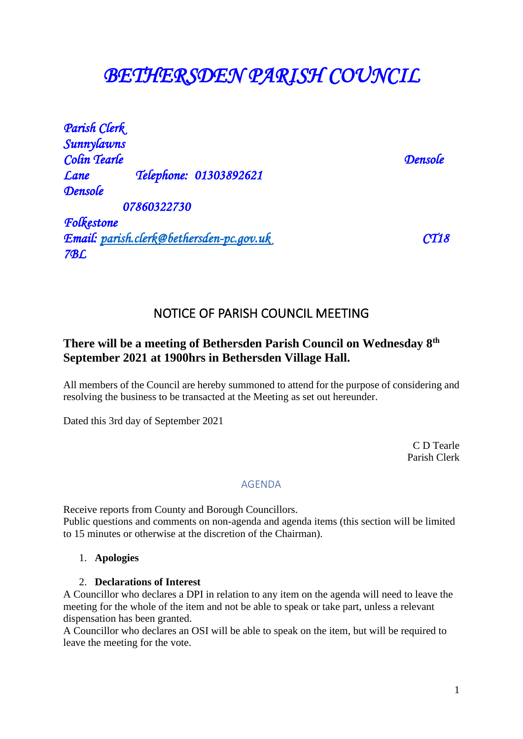# *BETHERSDEN PARISH COUNCIL*

*Parish Clerk Sunnylawns Colin Tearle Densole Lane Telephone: 01303892621 Densole 07860322730 Folkestone Email: [parish.clerk@bethersden-pc.gov.uk](mailto:parish.clerk@bethersden-pc.gov.uk) CT18* 

# NOTICE OF PARISH COUNCIL MEETING

# **There will be a meeting of Bethersden Parish Council on Wednesday 8th September 2021 at 1900hrs in Bethersden Village Hall.**

All members of the Council are hereby summoned to attend for the purpose of considering and resolving the business to be transacted at the Meeting as set out hereunder.

Dated this 3rd day of September 2021

 C D Tearle Parish Clerk

# AGENDA

Receive reports from County and Borough Councillors. Public questions and comments on non-agenda and agenda items (this section will be limited to 15 minutes or otherwise at the discretion of the Chairman).

# 1. **Apologies**

*7BL* 

# 2. **Declarations of Interest**

A Councillor who declares a DPI in relation to any item on the agenda will need to leave the meeting for the whole of the item and not be able to speak or take part, unless a relevant dispensation has been granted.

A Councillor who declares an OSI will be able to speak on the item, but will be required to leave the meeting for the vote.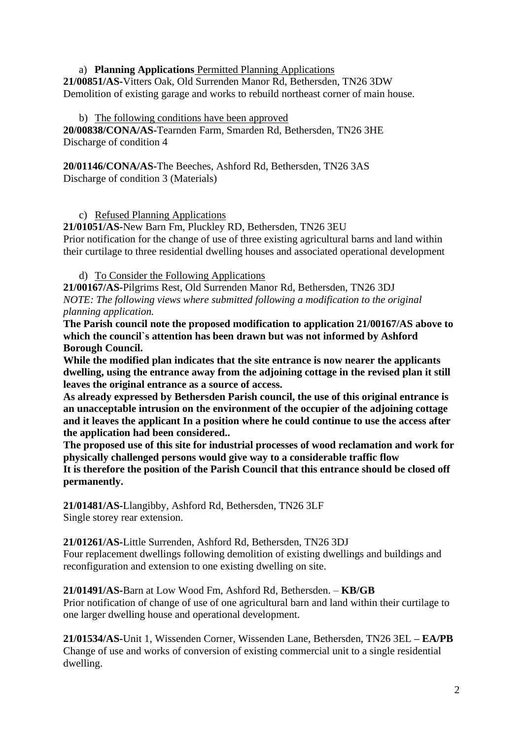# a) **Planning Applications** Permitted Planning Applications

**21/00851/AS-**Vitters Oak, Old Surrenden Manor Rd, Bethersden, TN26 3DW Demolition of existing garage and works to rebuild northeast corner of main house.

# b) The following conditions have been approved

**20/00838/CONA/AS-**Tearnden Farm, Smarden Rd, Bethersden, TN26 3HE Discharge of condition 4

**20/01146/CONA/AS-**The Beeches, Ashford Rd, Bethersden, TN26 3AS Discharge of condition 3 (Materials)

c) Refused Planning Applications

**21/01051/AS-**New Barn Fm, Pluckley RD, Bethersden, TN26 3EU Prior notification for the change of use of three existing agricultural barns and land within their curtilage to three residential dwelling houses and associated operational development

d) To Consider the Following Applications

**21/00167/AS-**Pilgrims Rest, Old Surrenden Manor Rd, Bethersden, TN26 3DJ *NOTE: The following views where submitted following a modification to the original planning application.*

**The Parish council note the proposed modification to application 21/00167/AS above to which the council`s attention has been drawn but was not informed by Ashford Borough Council.**

**While the modified plan indicates that the site entrance is now nearer the applicants dwelling, using the entrance away from the adjoining cottage in the revised plan it still leaves the original entrance as a source of access.**

**As already expressed by Bethersden Parish council, the use of this original entrance is an unacceptable intrusion on the environment of the occupier of the adjoining cottage and it leaves the applicant In a position where he could continue to use the access after the application had been considered..**

**The proposed use of this site for industrial processes of wood reclamation and work for physically challenged persons would give way to a considerable traffic flow It is therefore the position of the Parish Council that this entrance should be closed off permanently.**

**21/01481/AS-**Llangibby, Ashford Rd, Bethersden, TN26 3LF Single storey rear extension.

**21/01261/AS-**Little Surrenden, Ashford Rd, Bethersden, TN26 3DJ Four replacement dwellings following demolition of existing dwellings and buildings and reconfiguration and extension to one existing dwelling on site.

**21/01491/AS-**Barn at Low Wood Fm, Ashford Rd, Bethersden. – **KB/GB** Prior notification of change of use of one agricultural barn and land within their curtilage to one larger dwelling house and operational development.

**21/01534/AS-**Unit 1, Wissenden Corner, Wissenden Lane, Bethersden, TN26 3EL **– EA/PB** Change of use and works of conversion of existing commercial unit to a single residential dwelling.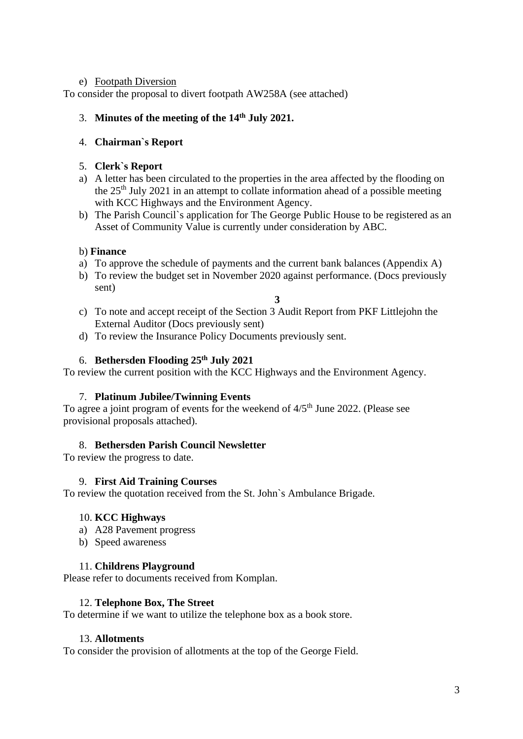# e) Footpath Diversion

To consider the proposal to divert footpath AW258A (see attached)

# 3. **Minutes of the meeting of the 14th July 2021.**

# 4. **Chairman`s Report**

# 5. **Clerk`s Report**

- a) A letter has been circulated to the properties in the area affected by the flooding on the 25th July 2021 in an attempt to collate information ahead of a possible meeting with KCC Highways and the Environment Agency.
- b) The Parish Council`s application for The George Public House to be registered as an Asset of Community Value is currently under consideration by ABC.

# b) **Finance**

- a) To approve the schedule of payments and the current bank balances (Appendix A)
- b) To review the budget set in November 2020 against performance. (Docs previously sent)
	- **3**
- c) To note and accept receipt of the Section 3 Audit Report from PKF Littlejohn the External Auditor (Docs previously sent)
- d) To review the Insurance Policy Documents previously sent.

# 6. **Bethersden Flooding 25th July 2021**

To review the current position with the KCC Highways and the Environment Agency.

# 7. **Platinum Jubilee/Twinning Events**

To agree a joint program of events for the weekend of  $4/5<sup>th</sup>$  June 2022. (Please see provisional proposals attached).

# 8. **Bethersden Parish Council Newsletter**

To review the progress to date.

# 9. **First Aid Training Courses**

To review the quotation received from the St. John`s Ambulance Brigade.

# 10. **KCC Highways**

- a) A28 Pavement progress
- b) Speed awareness

# 11. **Childrens Playground**

Please refer to documents received from Komplan.

# 12. **Telephone Box, The Street**

To determine if we want to utilize the telephone box as a book store.

# 13. **Allotments**

To consider the provision of allotments at the top of the George Field.